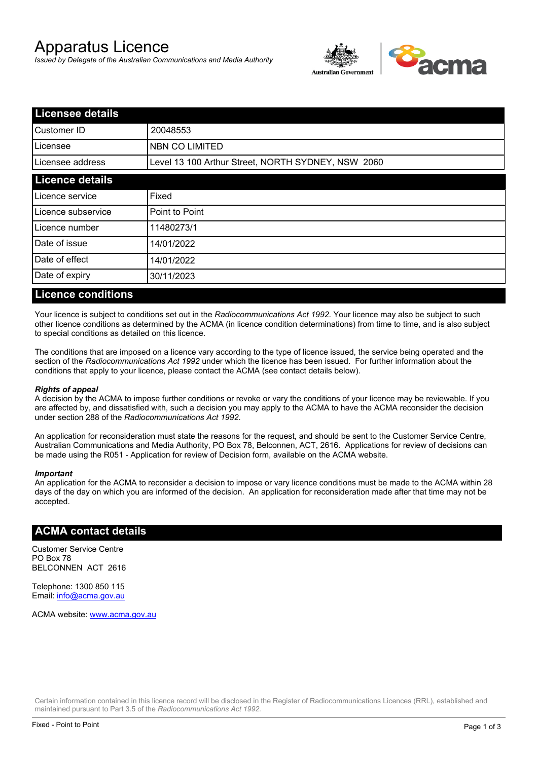# Apparatus Licence

*Issued by Delegate of the Australian Communications and Media Authority*



| <b>Licensee details</b> |                                                    |  |
|-------------------------|----------------------------------------------------|--|
| Customer ID             | 20048553                                           |  |
| Licensee                | NBN CO LIMITED                                     |  |
| Licensee address        | Level 13 100 Arthur Street, NORTH SYDNEY, NSW 2060 |  |
| <b>Licence details</b>  |                                                    |  |
| Licence service         | Fixed                                              |  |
| Licence subservice      | Point to Point                                     |  |
| Licence number          | 11480273/1                                         |  |
| Date of issue           | 14/01/2022                                         |  |
| Date of effect          | 14/01/2022                                         |  |
| Date of expiry          | 30/11/2023                                         |  |
|                         |                                                    |  |

#### **Licence conditions**

Your licence is subject to conditions set out in the *Radiocommunications Act 1992*. Your licence may also be subject to such other licence conditions as determined by the ACMA (in licence condition determinations) from time to time, and is also subject to special conditions as detailed on this licence.

The conditions that are imposed on a licence vary according to the type of licence issued, the service being operated and the section of the *Radiocommunications Act 1992* under which the licence has been issued. For further information about the conditions that apply to your licence, please contact the ACMA (see contact details below).

#### *Rights of appeal*

A decision by the ACMA to impose further conditions or revoke or vary the conditions of your licence may be reviewable. If you are affected by, and dissatisfied with, such a decision you may apply to the ACMA to have the ACMA reconsider the decision under section 288 of the *Radiocommunications Act 1992*.

An application for reconsideration must state the reasons for the request, and should be sent to the Customer Service Centre, Australian Communications and Media Authority, PO Box 78, Belconnen, ACT, 2616. Applications for review of decisions can be made using the R051 - Application for review of Decision form, available on the ACMA website.

#### *Important*

An application for the ACMA to reconsider a decision to impose or vary licence conditions must be made to the ACMA within 28 days of the day on which you are informed of the decision. An application for reconsideration made after that time may not be accepted.

#### **ACMA contact details**

Customer Service Centre PO Box 78 BELCONNEN ACT 2616

Telephone: 1300 850 115 Email: info@acma.gov.au

ACMA website: www.acma.gov.au

Certain information contained in this licence record will be disclosed in the Register of Radiocommunications Licences (RRL), established and maintained pursuant to Part 3.5 of the *Radiocommunications Act 1992.*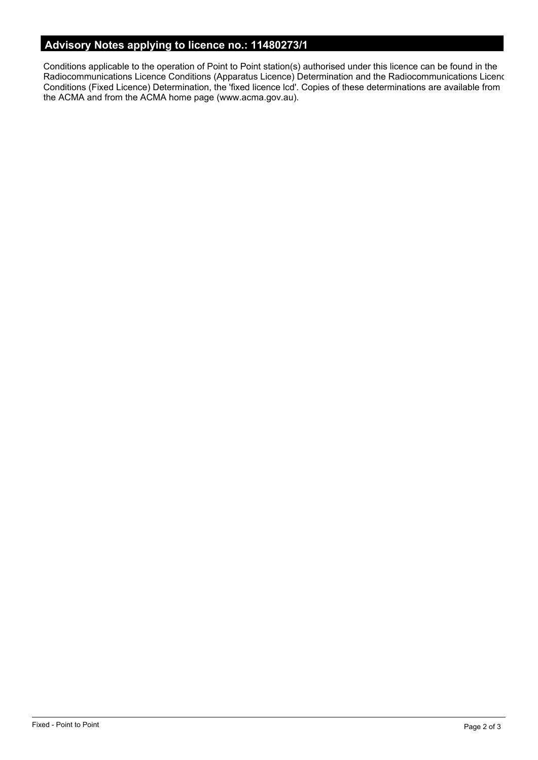# **Advisory Notes applying to licence no.: 11480273/1**

Conditions applicable to the operation of Point to Point station(s) authorised under this licence can be found in the Radiocommunications Licence Conditions (Apparatus Licence) Determination and the Radiocommunications Licence Conditions (Fixed Licence) Determination, the 'fixed licence lcd'. Copies of these determinations are available from the ACMA and from the ACMA home page (www.acma.gov.au).